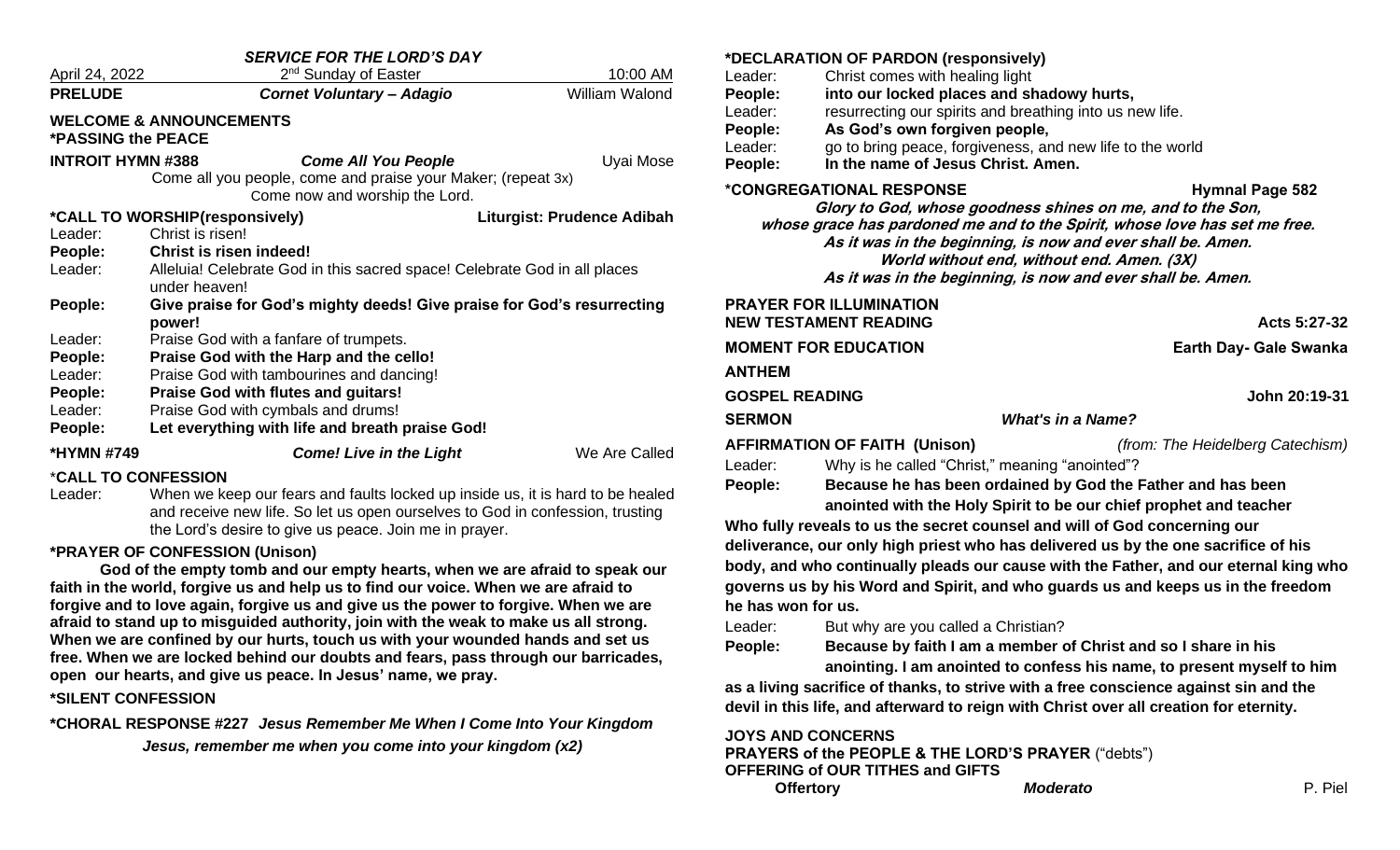| <b>SERVICE FOR THE LORD'S DAY</b>                               |                                                                                            |                            |  |  |  |
|-----------------------------------------------------------------|--------------------------------------------------------------------------------------------|----------------------------|--|--|--|
| April 24, 2022                                                  | 2 <sup>nd</sup> Sunday of Easter                                                           | 10:00 AM                   |  |  |  |
| <b>PRELUDE</b>                                                  | <b>Cornet Voluntary - Adagio</b>                                                           | <b>William Walond</b>      |  |  |  |
| <b>WELCOME &amp; ANNOUNCEMENTS</b><br><b>*PASSING the PEACE</b> |                                                                                            |                            |  |  |  |
| <b>INTROIT HYMN #388</b>                                        | <b>Come All You People</b>                                                                 | Uyai Mose                  |  |  |  |
|                                                                 | Come all you people, come and praise your Maker; (repeat 3x)                               |                            |  |  |  |
|                                                                 | Come now and worship the Lord.                                                             |                            |  |  |  |
| *CALL TO WORSHIP(responsively)                                  |                                                                                            | Liturgist: Prudence Adibah |  |  |  |
| Leader:                                                         | Christ is risen!                                                                           |                            |  |  |  |
| People:                                                         | Christ is risen indeed!                                                                    |                            |  |  |  |
| Leader:                                                         | Alleluia! Celebrate God in this sacred space! Celebrate God in all places<br>under heaven! |                            |  |  |  |
| People:                                                         | Give praise for God's mighty deeds! Give praise for God's resurrecting<br>power!           |                            |  |  |  |
| Leader:                                                         | Praise God with a fanfare of trumpets.                                                     |                            |  |  |  |
| People:                                                         | Praise God with the Harp and the cello!                                                    |                            |  |  |  |
| Leader:                                                         | Praise God with tambourines and dancing!                                                   |                            |  |  |  |
| People:                                                         | <b>Praise God with flutes and guitars!</b>                                                 |                            |  |  |  |
| Leader:                                                         | Praise God with cymbals and drums!                                                         |                            |  |  |  |
| People:                                                         | Let everything with life and breath praise God!                                            |                            |  |  |  |
| *HYMN #749                                                      | <b>Come! Live in the Light</b>                                                             | We Are Called              |  |  |  |
|                                                                 |                                                                                            |                            |  |  |  |

#### \***CALL TO CONFESSION**

Leader: When we keep our fears and faults locked up inside us, it is hard to be healed and receive new life. So let us open ourselves to God in confession, trusting the Lord's desire to give us peace. Join me in prayer.

#### **\*PRAYER OF CONFESSION (Unison)**

**God of the empty tomb and our empty hearts, when we are afraid to speak our faith in the world, forgive us and help us to find our voice. When we are afraid to forgive and to love again, forgive us and give us the power to forgive. When we are afraid to stand up to misguided authority, join with the weak to make us all strong. When we are confined by our hurts, touch us with your wounded hands and set us free. When we are locked behind our doubts and fears, pass through our barricades, open our hearts, and give us peace. In Jesus' name, we pray.**

#### **\*SILENT CONFESSION**

**\*CHORAL RESPONSE #227** *Jesus Remember Me When I Come Into Your Kingdom Jesus, remember me when you come into your kingdom (x2)*

|                       | *DECLARATION OF PARDON (responsively)                                                           |                                                                                       |  |
|-----------------------|-------------------------------------------------------------------------------------------------|---------------------------------------------------------------------------------------|--|
| Leader:               | Christ comes with healing light                                                                 |                                                                                       |  |
| People:               | into our locked places and shadowy hurts,                                                       |                                                                                       |  |
| Leader:               | resurrecting our spirits and breathing into us new life.                                        |                                                                                       |  |
| People:               | As God's own forgiven people,                                                                   |                                                                                       |  |
| Leader:               | go to bring peace, forgiveness, and new life to the world<br>In the name of Jesus Christ, Amen. |                                                                                       |  |
| People:               |                                                                                                 |                                                                                       |  |
|                       | <i><b>*CONGREGATIONAL RESPONSE</b></i>                                                          | <b>Hymnal Page 582</b>                                                                |  |
|                       | Glory to God, whose goodness shines on me, and to the Son,                                      |                                                                                       |  |
|                       | As it was in the beginning, is now and ever shall be. Amen.                                     | whose grace has pardoned me and to the Spirit, whose love has set me free.            |  |
|                       | World without end, without end. Amen. (3X)                                                      |                                                                                       |  |
|                       | As it was in the beginning, is now and ever shall be. Amen.                                     |                                                                                       |  |
|                       | <b>PRAYER FOR ILLUMINATION</b>                                                                  |                                                                                       |  |
|                       | <b>NEW TESTAMENT READING</b>                                                                    | Acts 5:27-32                                                                          |  |
|                       | <b>MOMENT FOR EDUCATION</b>                                                                     | Earth Day- Gale Swanka                                                                |  |
| <b>ANTHEM</b>         |                                                                                                 |                                                                                       |  |
| <b>GOSPEL READING</b> |                                                                                                 | John 20:19-31                                                                         |  |
| <b>SERMON</b>         |                                                                                                 | <b>What's in a Name?</b>                                                              |  |
|                       | <b>AFFIRMATION OF FAITH (Unison)</b>                                                            | (from: The Heidelberg Catechism)                                                      |  |
| Leader:               | Why is he called "Christ," meaning "anointed"?                                                  |                                                                                       |  |
| People:               |                                                                                                 | Because he has been ordained by God the Father and has been                           |  |
|                       |                                                                                                 | anointed with the Holy Spirit to be our chief prophet and teacher                     |  |
|                       | Who fully reveals to us the secret counsel and will of God concerning our                       |                                                                                       |  |
|                       |                                                                                                 | deliverance, our only high priest who has delivered us by the one sacrifice of his    |  |
|                       |                                                                                                 | body, and who continually pleads our cause with the Father, and our eternal king who  |  |
|                       |                                                                                                 | governs us by his Word and Spirit, and who guards us and keeps us in the freedom      |  |
| he has won for us.    |                                                                                                 |                                                                                       |  |
| Leader:               | But why are you called a Christian?                                                             |                                                                                       |  |
| People:               | Because by faith I am a member of Christ and so I share in his                                  |                                                                                       |  |
|                       |                                                                                                 | anointing. I am anointed to confess his name, to present myself to him                |  |
|                       |                                                                                                 | as a living sacrifice of thanks, to strive with a free conscience against sin and the |  |

**devil in this life, and afterward to reign with Christ over all creation for eternity.**

**JOYS AND CONCERNS PRAYERS of the PEOPLE & THE LORD'S PRAYER** ("debts") **OFFERING of OUR TITHES and GIFTS Offertory** *Moderato* P. Piel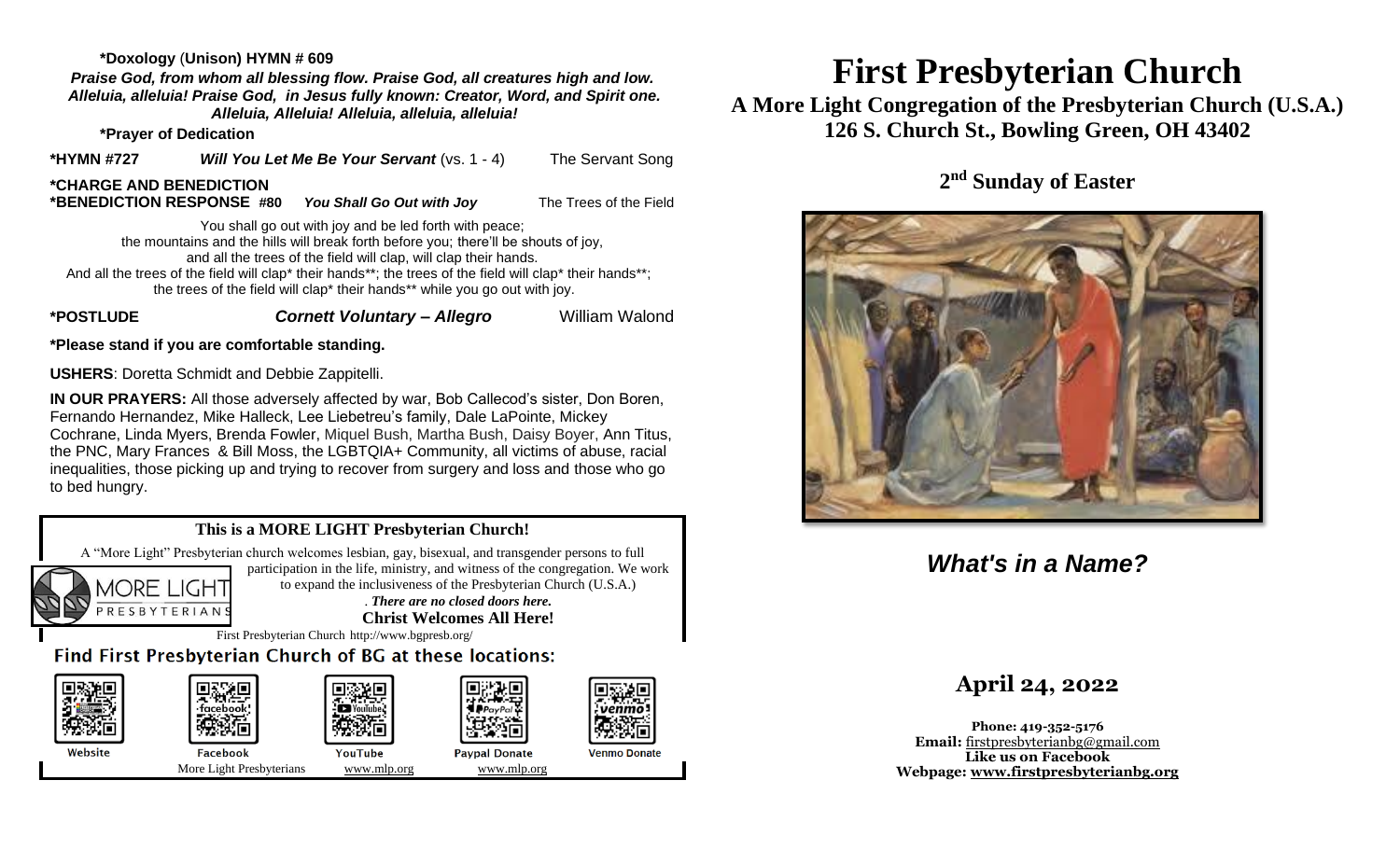#### **\*Doxology** (**Unison) HYMN # 609**

*Praise God, from whom all blessing flow. Praise God, all creatures high and low. Alleluia, alleluia! Praise God, in Jesus fully known: Creator, Word, and Spirit one. Alleluia, Alleluia! Alleluia, alleluia, alleluia!*

**\*Prayer of Dedication**

**\*HYMN #727** *Will You Let Me Be Your Servant* (vs. 1 - 4) The Servant Song 

#### **\*CHARGE AND BENEDICTION**

**\*BENEDICTION RESPONSE #80** *You Shall Go Out with Joy* The Trees of the Field

You shall go out with joy and be led forth with peace; the mountains and the hills will break forth before you; there'll be shouts of joy, and all the trees of the field will clap, will clap their hands. And all the trees of the field will clap\* their hands\*\*; the trees of the field will clap\* their hands\*\*; the trees of the field will clap\* their hands\*\* while you go out with joy.

### **\*POSTLUDE** *Cornett Voluntary – Allegro* William Walond

**\*Please stand if you are comfortable standing.** 

**USHERS**: Doretta Schmidt and Debbie Zappitelli.

**IN OUR PRAYERS:** All those adversely affected by war, Bob Callecod's sister, Don Boren, Fernando Hernandez, Mike Halleck, Lee Liebetreu's family, Dale LaPointe, Mickey Cochrane, Linda Myers, Brenda Fowler, Miquel Bush, Martha Bush, Daisy Boyer, Ann Titus, the PNC, Mary Frances & Bill Moss, the LGBTQIA+ Community, all victims of abuse, racial inequalities, those picking up and trying to recover from surgery and loss and those who go to bed hungry.

## **This is a MORE LIGHT Presbyterian Church!**

A "More Light" Presbyterian church welcomes lesbian, gay, bisexual, and transgender persons to full participation in the life, ministry, and witness of the congregation. We work **MORE LIGHT** to expand the inclusiveness of the Presbyterian Church (U.S.A.)

PRESBYTERIAN

. *There are no closed doors here.* **Christ Welcomes All Here!**

First Presbyterian Church http://www.bgpresb.org/

Find First Presbyterian Church of BG at these locations:



## **First Presbyterian Church**

**A More Light Congregation of the Presbyterian Church (U.S.A.) 126 S. Church St., Bowling Green, OH 43402**

**2 nd Sunday of Easter**



## *What's in a Name?*

## **April 24, 2022**

**Phone: 419-352-5176 Email:** [firstpresbyterianbg@gmail.com](mailto:firstpresbyterianbg@gmail.com) **Like us on Facebook Webpage: [www.firstpresbyterianbg.org](http://www.firstpresbyterianbg.org/)**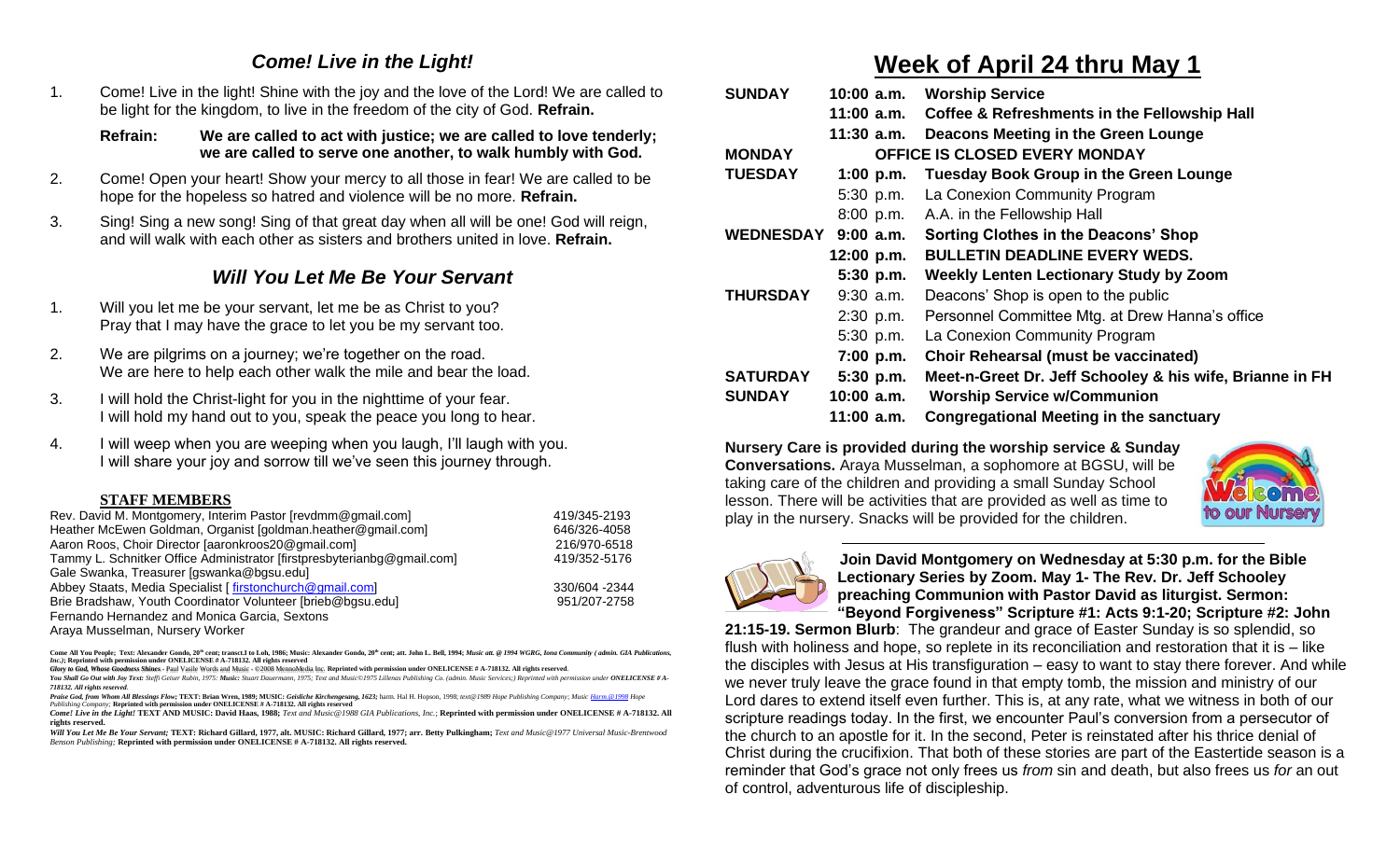## *Come! Live in the Light!*

1. Come! Live in the light! Shine with the joy and the love of the Lord! We are called to be light for the kingdom, to live in the freedom of the city of God. **Refrain.**

**Refrain: We are called to act with justice; we are called to love tenderly; we are called to serve one another, to walk humbly with God.**

- 2. Come! Open your heart! Show your mercy to all those in fear! We are called to be hope for the hopeless so hatred and violence will be no more. **Refrain.**
- 3. Sing! Sing a new song! Sing of that great day when all will be one! God will reign, and will walk with each other as sisters and brothers united in love. **Refrain.**

## *Will You Let Me Be Your Servant*

- 1. Will you let me be your servant, let me be as Christ to you? Pray that I may have the grace to let you be my servant too.
- 2. We are pilgrims on a journey; we're together on the road. We are here to help each other walk the mile and bear the load.
- 3. I will hold the Christ-light for you in the nighttime of your fear. I will hold my hand out to you, speak the peace you long to hear.
- 4. I will weep when you are weeping when you laugh, I'll laugh with you. I will share your joy and sorrow till we've seen this journey through.

## **STAFF MEMBERS**

| Rev. David M. Montgomery, Interim Pastor [revdmm@gmail.com]             | 419/345-2193  |
|-------------------------------------------------------------------------|---------------|
| Heather McEwen Goldman, Organist [goldman.heather@gmail.com]            | 646/326-4058  |
| Aaron Roos, Choir Director Jaaronkroos20@gmail.com]                     | 216/970-6518  |
| Tammy L. Schnitker Office Administrator [firstpresbyterianbg@gmail.com] | 419/352-5176  |
| Gale Swanka, Treasurer [gswanka@bgsu.edu]                               |               |
| Abbey Staats, Media Specialist [firstonchurch@gmail.com]                | 330/604 -2344 |
| Brie Bradshaw, Youth Coordinator Volunteer [brieb@bgsu.edu]             | 951/207-2758  |
| Fernando Hernandez and Monica Garcia, Sextons                           |               |
|                                                                         |               |

Araya Musselman, Nursery Worker

Come All You People; Text: Alexander Gondo, 20<sup>th</sup> cent; transct.I to Loh, 1986; Music: Alexander Gondo, 20<sup>th</sup> cent; att. John L. Bell, 1994; Music att. @ 1994 WGRG. Iona Community ( admin. GIA Publications *Inc.)***; Reprinted with permission under ONELICENSE # A-718132. All rights reserved**

*Glory to God, Whose Goodness Shines* - Paul Vasile Words and Music - ©2008 MennoMedia Inc. **Reprinted with permission under ONELICENSE # A-718132. All rights reserved**.

You Shall Go Out with Joy Text: Steffi Geiser Rubin, 1975: Music: Stuart Dauermann, 1975; Text and Music@1975 Lillenas Publishing Co. (admin. Music Services;) Reprinted with permission under ONELICENSE # A-*718132. All rights reserved.*

Praise God, from Whom All Blessings Flow; TEXT: Brian Wren, 1989; MUSIC: Geisliche Kirchengesang, 1623; harm. Hal H. Hopson, 1998; text@1989 Hope Publishing Company; Musi[c Harm.@1998](mailto:Harm.@1998) Hope *Publishing Company;* **Reprinted with permission under ONELICENSE # A-718132. All rights reserved**

*Come! Live in the Light!* **TEXT AND MUSIC: David Haas, 1988;** *Text and Music@1988 GIA Publications, Inc.*; **Reprinted with permission under ONELICENSE # A-718132. All rights reserved.**

*Will You Let Me Be Your Servant;* **TEXT: Richard Gillard, 1977, alt. MUSIC: Richard Gillard, 1977; arr. Betty Pulkingham;** *Text and Music@1977 Universal Music-Brentwood Benson Publishing;* **Reprinted with permission under ONELICENSE # A-718132. All rights reserved.**

## **Week of April 24 thru May 1**

| <b>SUNDAY</b>                                         | $10:00$ a.m. | <b>Worship Service</b>                                   |
|-------------------------------------------------------|--------------|----------------------------------------------------------|
|                                                       |              | 11:00 a.m. Coffee & Refreshments in the Fellowship Hall  |
|                                                       | $11:30$ a.m. | Deacons Meeting in the Green Lounge                      |
| <b>MONDAY</b><br><b>OFFICE IS CLOSED EVERY MONDAY</b> |              |                                                          |
| <b>TUESDAY</b>                                        | 1:00 $p.m.$  | <b>Tuesday Book Group in the Green Lounge</b>            |
|                                                       | $5:30$ p.m.  | La Conexion Community Program                            |
|                                                       |              | 8:00 p.m. A.A. in the Fellowship Hall                    |
| <b>WEDNESDAY</b>                                      | $9:00$ a.m.  | <b>Sorting Clothes in the Deacons' Shop</b>              |
|                                                       | 12:00 p.m.   | <b>BULLETIN DEADLINE EVERY WEDS.</b>                     |
|                                                       | $5:30$ p.m.  | <b>Weekly Lenten Lectionary Study by Zoom</b>            |
| <b>THURSDAY</b>                                       | $9:30$ a.m.  | Deacons' Shop is open to the public                      |
|                                                       | $2:30$ p.m.  | Personnel Committee Mtg. at Drew Hanna's office          |
|                                                       | $5:30$ p.m.  | La Conexion Community Program                            |
|                                                       | $7:00$ p.m.  | <b>Choir Rehearsal (must be vaccinated)</b>              |
| <b>SATURDAY</b>                                       | $5:30$ p.m.  | Meet-n-Greet Dr. Jeff Schooley & his wife, Brianne in FH |
| <b>SUNDAY</b>                                         | 10:00 a.m.   | <b>Worship Service w/Communion</b>                       |
|                                                       | 11:00 a.m.   | <b>Congregational Meeting in the sanctuary</b>           |

**Nursery Care is provided during the worship service & Sunday Conversations.** Araya Musselman, a sophomore at BGSU, will be taking care of the children and providing a small Sunday School lesson. There will be activities that are provided as well as time to play in the nursery. Snacks will be provided for the children.





 **Join David Montgomery on Wednesday at 5:30 p.m. for the Bible Lectionary Series by Zoom. May 1- The Rev. Dr. Jeff Schooley preaching Communion with Pastor David as liturgist. Sermon: "Beyond Forgiveness" Scripture #1: Acts 9:1-20; Scripture #2: John** 

**21:15-19. Sermon Blurb**: The grandeur and grace of Easter Sunday is so splendid, so flush with holiness and hope, so replete in its reconciliation and restoration that it is – like the disciples with Jesus at His transfiguration – easy to want to stay there forever. And while we never truly leave the grace found in that empty tomb, the mission and ministry of our Lord dares to extend itself even further. This is, at any rate, what we witness in both of our scripture readings today. In the first, we encounter Paul's conversion from a persecutor of the church to an apostle for it. In the second, Peter is reinstated after his thrice denial of Christ during the crucifixion. That both of these stories are part of the Eastertide season is a reminder that God's grace not only frees us *from* sin and death, but also frees us *for* an out of control, adventurous life of discipleship.